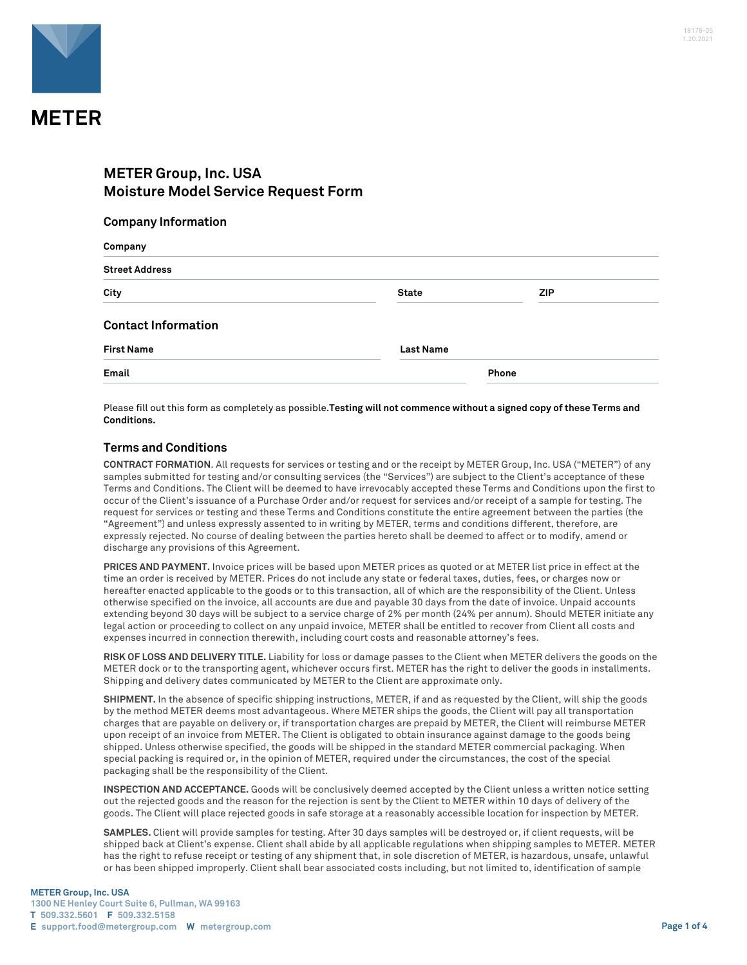

## **METER Group, Inc. USA Moisture Model Service Request Form**

## **Company Information**

| Company                    |                  |            |  |  |
|----------------------------|------------------|------------|--|--|
| <b>Street Address</b>      |                  |            |  |  |
| City                       | <b>State</b>     | <b>ZIP</b> |  |  |
| <b>Contact Information</b> |                  |            |  |  |
| <b>First Name</b>          | <b>Last Name</b> |            |  |  |
| Email                      |                  | Phone      |  |  |

Please fill out this form as completely as possible.**Testing will not commence without a signed copy of these Terms and Conditions.**

## **Terms and Conditions**

**CONTRACT FORMATION**. All requests for services or testing and or the receipt by METER Group, Inc. USA ("METER") of any samples submitted for testing and/or consulting services (the "Services") are subject to the Client's acceptance of these Terms and Conditions. The Client will be deemed to have irrevocably accepted these Terms and Conditions upon the first to occur of the Client's issuance of a Purchase Order and/or request for services and/or receipt of a sample for testing. The request for services or testing and these Terms and Conditions constitute the entire agreement between the parties (the "Agreement") and unless expressly assented to in writing by METER, terms and conditions different, therefore, are expressly rejected. No course of dealing between the parties hereto shall be deemed to affect or to modify, amend or discharge any provisions of this Agreement.

**PRICES AND PAYMENT.** Invoice prices will be based upon METER prices as quoted or at METER list price in effect at the time an order is received by METER. Prices do not include any state or federal taxes, duties, fees, or charges now or hereafter enacted applicable to the goods or to this transaction, all of which are the responsibility of the Client. Unless otherwise specified on the invoice, all accounts are due and payable 30 days from the date of invoice. Unpaid accounts extending beyond 30 days will be subject to a service charge of 2% per month (24% per annum). Should METER initiate any legal action or proceeding to collect on any unpaid invoice, METER shall be entitled to recover from Client all costs and expenses incurred in connection therewith, including court costs and reasonable attorney's fees.

**RISK OF LOSS AND DELIVERY TITLE.** Liability for loss or damage passes to the Client when METER delivers the goods on the METER dock or to the transporting agent, whichever occurs first. METER has the right to deliver the goods in installments. Shipping and delivery dates communicated by METER to the Client are approximate only.

**SHIPMENT.** In the absence of specific shipping instructions, METER, if and as requested by the Client, will ship the goods by the method METER deems most advantageous. Where METER ships the goods, the Client will pay all transportation charges that are payable on delivery or, if transportation charges are prepaid by METER, the Client will reimburse METER upon receipt of an invoice from METER. The Client is obligated to obtain insurance against damage to the goods being shipped. Unless otherwise specified, the goods will be shipped in the standard METER commercial packaging. When special packing is required or, in the opinion of METER, required under the circumstances, the cost of the special packaging shall be the responsibility of the Client.

**INSPECTION AND ACCEPTANCE.** Goods will be conclusively deemed accepted by the Client unless a written notice setting out the rejected goods and the reason for the rejection is sent by the Client to METER within 10 days of delivery of the goods. The Client will place rejected goods in safe storage at a reasonably accessible location for inspection by METER.

**SAMPLES.** Client will provide samples for testing. After 30 days samples will be destroyed or, if client requests, will be shipped back at Client's expense. Client shall abide by all applicable regulations when shipping samples to METER. METER has the right to refuse receipt or testing of any shipment that, in sole discretion of METER, is hazardous, unsafe, unlawful or has been shipped improperly. Client shall bear associated costs including, but not limited to, identification of sample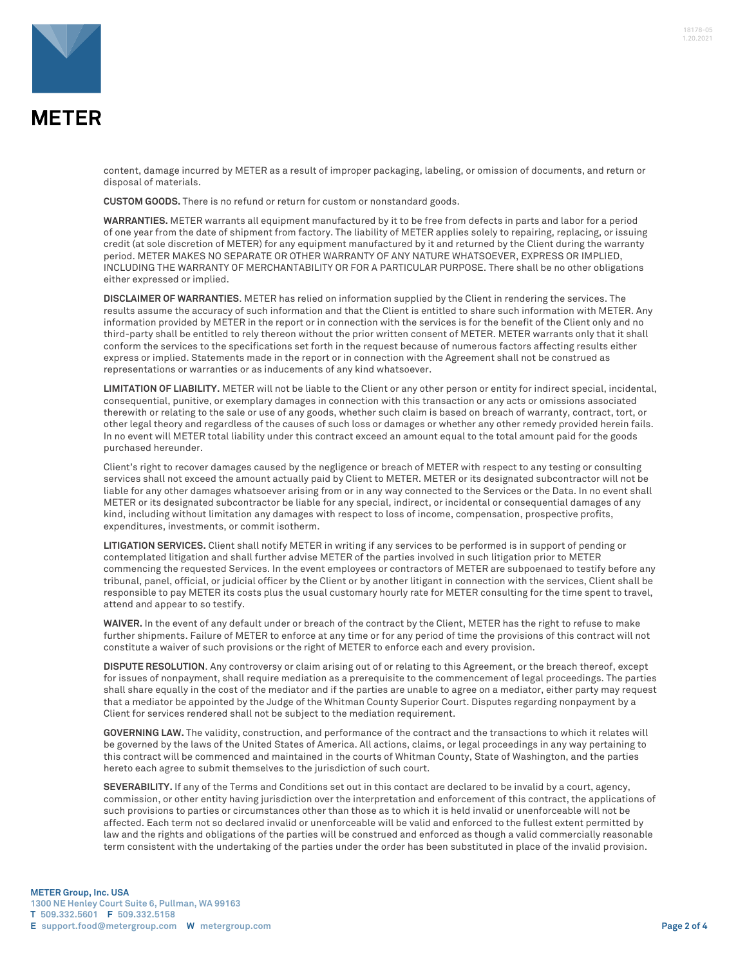

**MFTFR** 

content, damage incurred by METER as a result of improper packaging, labeling, or omission of documents, and return or disposal of materials.

**CUSTOM GOODS.** There is no refund or return for custom or nonstandard goods.

**WARRANTIES.** METER warrants all equipment manufactured by it to be free from defects in parts and labor for a period of one year from the date of shipment from factory. The liability of METER applies solely to repairing, replacing, or issuing credit (at sole discretion of METER) for any equipment manufactured by it and returned by the Client during the warranty period. METER MAKES NO SEPARATE OR OTHER WARRANTY OF ANY NATURE WHATSOEVER, EXPRESS OR IMPLIED, INCLUDING THE WARRANTY OF MERCHANTABILITY OR FOR A PARTICULAR PURPOSE. There shall be no other obligations either expressed or implied.

**DISCLAIMER OF WARRANTIES**. METER has relied on information supplied by the Client in rendering the services. The results assume the accuracy of such information and that the Client is entitled to share such information with METER. Any information provided by METER in the report or in connection with the services is for the benefit of the Client only and no third-party shall be entitled to rely thereon without the prior written consent of METER. METER warrants only that it shall conform the services to the specifications set forth in the request because of numerous factors affecting results either express or implied. Statements made in the report or in connection with the Agreement shall not be construed as representations or warranties or as inducements of any kind whatsoever.

**LIMITATION OF LIABILITY.** METER will not be liable to the Client or any other person or entity for indirect special, incidental, consequential, punitive, or exemplary damages in connection with this transaction or any acts or omissions associated therewith or relating to the sale or use of any goods, whether such claim is based on breach of warranty, contract, tort, or other legal theory and regardless of the causes of such loss or damages or whether any other remedy provided herein fails. In no event will METER total liability under this contract exceed an amount equal to the total amount paid for the goods purchased hereunder.

Client's right to recover damages caused by the negligence or breach of METER with respect to any testing or consulting services shall not exceed the amount actually paid by Client to METER. METER or its designated subcontractor will not be liable for any other damages whatsoever arising from or in any way connected to the Services or the Data. In no event shall METER or its designated subcontractor be liable for any special, indirect, or incidental or consequential damages of any kind, including without limitation any damages with respect to loss of income, compensation, prospective profits, expenditures, investments, or commit isotherm.

**LITIGATION SERVICES.** Client shall notify METER in writing if any services to be performed is in support of pending or contemplated litigation and shall further advise METER of the parties involved in such litigation prior to METER commencing the requested Services. In the event employees or contractors of METER are subpoenaed to testify before any tribunal, panel, official, or judicial officer by the Client or by another litigant in connection with the services, Client shall be responsible to pay METER its costs plus the usual customary hourly rate for METER consulting for the time spent to travel, attend and appear to so testify.

**WAIVER.** In the event of any default under or breach of the contract by the Client, METER has the right to refuse to make further shipments. Failure of METER to enforce at any time or for any period of time the provisions of this contract will not constitute a waiver of such provisions or the right of METER to enforce each and every provision.

**DISPUTE RESOLUTION**. Any controversy or claim arising out of or relating to this Agreement, or the breach thereof, except for issues of nonpayment, shall require mediation as a prerequisite to the commencement of legal proceedings. The parties shall share equally in the cost of the mediator and if the parties are unable to agree on a mediator, either party may request that a mediator be appointed by the Judge of the Whitman County Superior Court. Disputes regarding nonpayment by a Client for services rendered shall not be subject to the mediation requirement.

**GOVERNING LAW.** The validity, construction, and performance of the contract and the transactions to which it relates will be governed by the laws of the United States of America. All actions, claims, or legal proceedings in any way pertaining to this contract will be commenced and maintained in the courts of Whitman County, State of Washington, and the parties hereto each agree to submit themselves to the jurisdiction of such court.

**SEVERABILITY.** If any of the Terms and Conditions set out in this contact are declared to be invalid by a court, agency, commission, or other entity having jurisdiction over the interpretation and enforcement of this contract, the applications of such provisions to parties or circumstances other than those as to which it is held invalid or unenforceable will not be affected. Each term not so declared invalid or unenforceable will be valid and enforced to the fullest extent permitted by law and the rights and obligations of the parties will be construed and enforced as though a valid commercially reasonable term consistent with the undertaking of the parties under the order has been substituted in place of the invalid provision.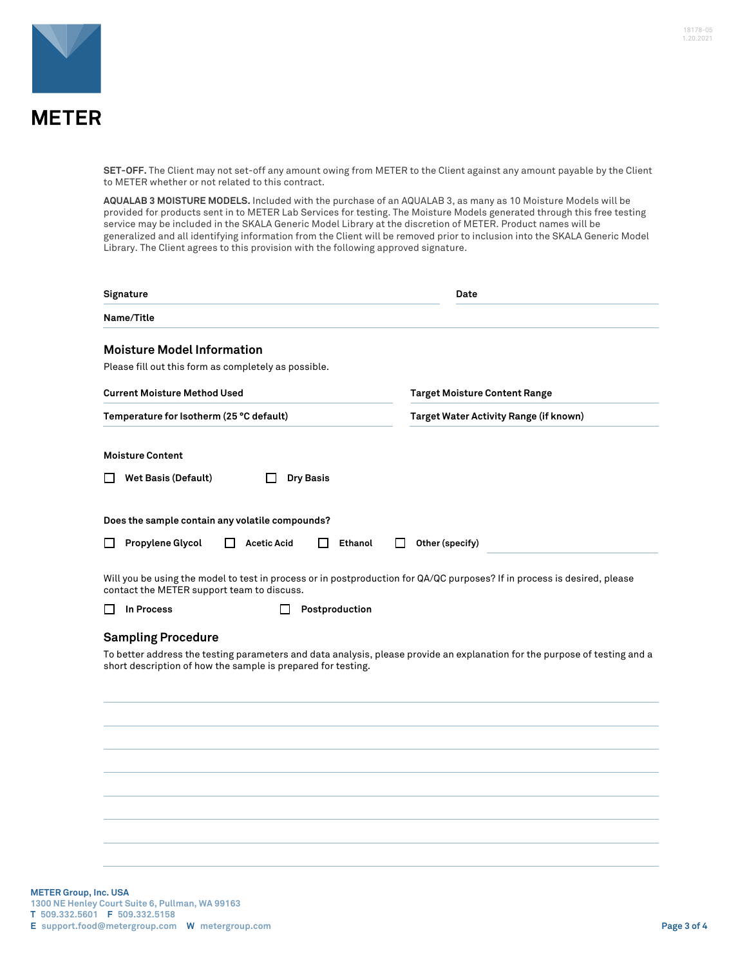

**SET-OFF.** The Client may not set-off any amount owing from METER to the Client against any amount payable by the Client to METER whether or not related to this contract.

**AQUALAB 3 MOISTURE MODELS.** Included with the purchase of an AQUALAB 3, as many as 10 Moisture Models will be provided for products sent in to METER Lab Services for testing. The Moisture Models generated through this free testing service may be included in the SKALA Generic Model Library at the discretion of METER. Product names will be generalized and all identifying information from the Client will be removed prior to inclusion into the SKALA Generic Model Library. The Client agrees to this provision with the following approved signature.

| Signature                                                                                                                                                                                                               | Date                                   |
|-------------------------------------------------------------------------------------------------------------------------------------------------------------------------------------------------------------------------|----------------------------------------|
| Name/Title                                                                                                                                                                                                              |                                        |
| <b>Moisture Model Information</b>                                                                                                                                                                                       |                                        |
| Please fill out this form as completely as possible.                                                                                                                                                                    |                                        |
| <b>Current Moisture Method Used</b>                                                                                                                                                                                     | <b>Target Moisture Content Range</b>   |
| Temperature for Isotherm (25 °C default)                                                                                                                                                                                | Target Water Activity Range (if known) |
| <b>Moisture Content</b>                                                                                                                                                                                                 |                                        |
| <b>Wet Basis (Default)</b><br><b>Dry Basis</b>                                                                                                                                                                          |                                        |
| Does the sample contain any volatile compounds?                                                                                                                                                                         |                                        |
| Propylene Glycol<br><b>Acetic Acid</b><br>Ethanol                                                                                                                                                                       | Other (specify)                        |
| Will you be using the model to test in process or in postproduction for QA/QC purposes? If in process is desired, please<br>contact the METER support team to discuss.                                                  |                                        |
| In Process<br>Postproduction                                                                                                                                                                                            |                                        |
| <b>Sampling Procedure</b><br>To better address the testing parameters and data analysis, please provide an explanation for the purpose of testing and a<br>short description of how the sample is prepared for testing. |                                        |
|                                                                                                                                                                                                                         |                                        |
|                                                                                                                                                                                                                         |                                        |
|                                                                                                                                                                                                                         |                                        |
|                                                                                                                                                                                                                         |                                        |
|                                                                                                                                                                                                                         |                                        |
|                                                                                                                                                                                                                         |                                        |
|                                                                                                                                                                                                                         |                                        |
|                                                                                                                                                                                                                         |                                        |